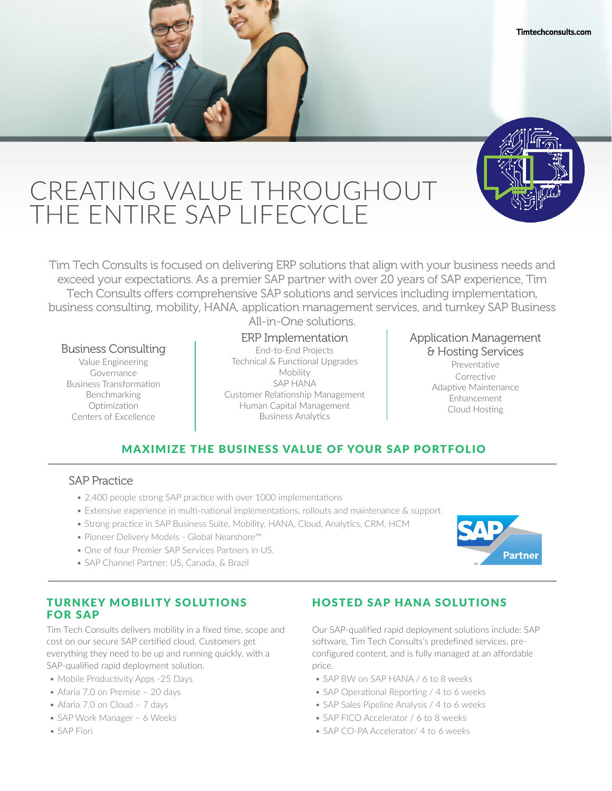# CREATING VALUE THROUGHOUT THE ENTIRE SAP LIFECYCLE

Tim Tech Consults is focused on delivering ERP solutions that align with your business needs and exceed your expectations. As a premier SAP partner with over 20 years of SAP experience, Tim Tech Consults offers comprehensive SAP solutions and services including implementation, business consulting, mobility, HANA, application management services, and turnkey SAP Business

### Business Consulting

Value Engineering Governance Business Transformation Benchmarking **Optimization** Centers of Excellence

# All-in-One solutions.

ERP Implementation End-to-End Projects Technical & Functional Upgrades Mobility SAP HANA Customer Relationship Management Human Capital Management Business Analytics

# Application Management & Hosting Services Preventative Corrective Adaptive Maintenance

Enhancement Cloud Hosting

# MAXIMIZE THE BUSINESS VALUE OF YOUR SAP PORTFOLIO

## SAP Practice

- 2,400 people strong SAP practice with over 1000 implementations
- Extensive experience in multi-national implementations, rollouts and maintenance & support
- Strong practice in SAP Business Suite, Mobility, HANA, Cloud, Analytics, CRM, HCM
- Pioneer Delivery Models Global Nearshore™
- One of four Premier SAP Services Partners in US.
- SAP Channel Partner: US, Canada, & Brazil

# TURNKEY MOBILITY SOLUTIONS FOR SAP

Tim Tech Consults delivers mobility in a fixed time, scope and cost on our secure SAP certified cloud. Customers get everything they need to be up and running quickly, with a SAP-qualified rapid deployment solution.

- Mobile Productivity Apps -25 Days
- Afaria 7.0 on Premise 20 days
- Afaria 7.0 on Cloud 7 days
- SAP Work Manager 6 Weeks
- SAP Fiori

# HOSTED SAP HANA SOLUTIONS

Our SAP-qualified rapid deployment solutions include: SAP software, Tim Tech Consults's predefined services, preconfigured content, and is fully managed at an affordable price.

- SAP BW on SAP HANA / 6 to 8 weeks
- SAP Operational Reporting / 4 to 6 weeks
- SAP Sales Pipeline Analysis / 4 to 6 weeks
- SAP FICO Accelerator / 6 to 8 weeks
- SAP CO-PA Accelerator/ 4 to 6 weeks